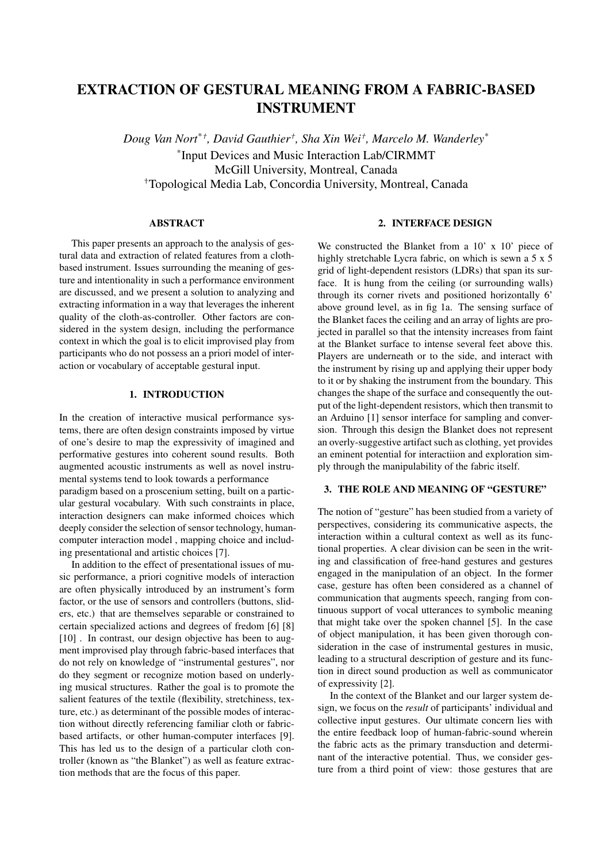# EXTRACTION OF GESTURAL MEANING FROM A FABRIC-BASED INSTRUMENT

 $Doug$  Van Nort<sup>\*†</sup>, David Gauthier<sup>†</sup>, Sha Xin Wei<sup>†</sup>, Marcelo M. Wanderley<sup>\*</sup> \* Input Devices and Music Interaction Lab/CIRMMT McGill University, Montreal, Canada <sup>+</sup>Topological Media Lab, Concordia University, Montreal, Canada

## ABSTRACT

This paper presents an approach to the analysis of gestural data and extraction of related features from a clothbased instrument. Issues surrounding the meaning of gesture and intentionality in such a performance environment are discussed, and we present a solution to analyzing and extracting information in a way that leverages the inherent quality of the cloth-as-controller. Other factors are considered in the system design, including the performance context in which the goal is to elicit improvised play from participants who do not possess an a priori model of interaction or vocabulary of acceptable gestural input.

## 1. INTRODUCTION

In the creation of interactive musical performance systems, there are often design constraints imposed by virtue of one's desire to map the expressivity of imagined and performative gestures into coherent sound results. Both augmented acoustic instruments as well as novel instrumental systems tend to look towards a performance paradigm based on a proscenium setting, built on a particular gestural vocabulary. With such constraints in place, interaction designers can make informed choices which deeply consider the selection of sensor technology, humancomputer interaction model , mapping choice and including presentational and artistic choices [7].

In addition to the effect of presentational issues of music performance, a priori cognitive models of interaction are often physically introduced by an instrument's form factor, or the use of sensors and controllers (buttons, sliders, etc.) that are themselves separable or constrained to certain specialized actions and degrees of fredom [6] [8] [10]. In contrast, our design objective has been to augment improvised play through fabric-based interfaces that do not rely on knowledge of "instrumental gestures", nor do they segment or recognize motion based on underlying musical structures. Rather the goal is to promote the salient features of the textile (flexibility, stretchiness, texture, etc.) as determinant of the possible modes of interaction without directly referencing familiar cloth or fabricbased artifacts, or other human-computer interfaces [9]. This has led us to the design of a particular cloth controller (known as "the Blanket") as well as feature extraction methods that are the focus of this paper.

# 2. INTERFACE DESIGN

We constructed the Blanket from a 10' x 10' piece of highly stretchable Lycra fabric, on which is sewn a 5 x 5 grid of light-dependent resistors (LDRs) that span its surface. It is hung from the ceiling (or surrounding walls) through its corner rivets and positioned horizontally 6' above ground level, as in fig 1a. The sensing surface of the Blanket faces the ceiling and an array of lights are projected in parallel so that the intensity increases from faint at the Blanket surface to intense several feet above this. Players are underneath or to the side, and interact with the instrument by rising up and applying their upper body to it or by shaking the instrument from the boundary. This changes the shape of the surface and consequently the output of the light-dependent resistors, which then transmit to an Arduino [1] sensor interface for sampling and conversion. Through this design the Blanket does not represent an overly-suggestive artifact such as clothing, yet provides an eminent potential for interactiion and exploration simply through the manipulability of the fabric itself.

## 3. THE ROLE AND MEANING OF "GESTURE"

The notion of "gesture" has been studied from a variety of perspectives, considering its communicative aspects, the interaction within a cultural context as well as its functional properties. A clear division can be seen in the writing and classification of free-hand gestures and gestures engaged in the manipulation of an object. In the former case, gesture has often been considered as a channel of communication that augments speech, ranging from continuous support of vocal utterances to symbolic meaning that might take over the spoken channel [5]. In the case of object manipulation, it has been given thorough consideration in the case of instrumental gestures in music, leading to a structural description of gesture and its function in direct sound production as well as communicator of expressivity [2].

In the context of the Blanket and our larger system design, we focus on the *result* of participants' individual and collective input gestures. Our ultimate concern lies with the entire feedback loop of human-fabric-sound wherein the fabric acts as the primary transduction and determinant of the interactive potential. Thus, we consider gesture from a third point of view: those gestures that are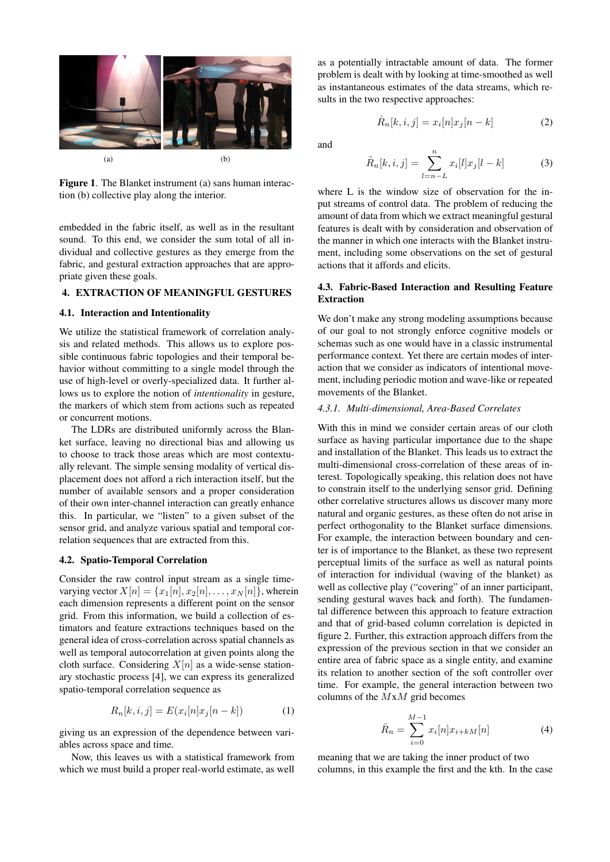

Figure 1. The Blanket instrument (a) sans human interaction (b) collective play along the interior.

embedded in the fabric itself, as well as in the resultant sound. To this end, we consider the sum total of all individual and collective gestures as they emerge from the fabric, and gestural extraction approaches that are appropriate given these goals.

## 4. EXTRACTION OF MEANINGFUL GESTURES

## 4.1. Interaction and Intentionality

We utilize the statistical framework of correlation analysis and related methods. This allows us to explore possible continuous fabric topologies and their temporal behavior without committing to a single model through the use of high-level or overly-specialized data. It further allows us to explore the notion of *intentionality* in gesture, the markers of which stem from actions such as repeated or concurrent motions.

The LDRs are distributed uniformly across the Blanket surface, leaving no directional bias and allowing us to choose to track those areas which are most contextually relevant. The simple sensing modality of vertical displacement does not afford a rich interaction itself, but the number of available sensors and a proper consideration of their own inter-channel interaction can greatly enhance this. In particular, we "listen" to a given subset of the sensor grid, and analyze various spatial and temporal correlation sequences that are extracted from this.

## 4.2. Spatio-Temporal Correlation

Consider the raw control input stream as a single timevarying vector  $X[n] = \{x_1[n], x_2[n], \ldots, x_N[n]\}$ , wherein each dimension represents a different point on the sensor grid. From this information, we build a collection of estimators and feature extractions techniques based on the general idea of cross-correlation across spatial channels as well as temporal autocorrelation at given points along the cloth surface. Considering  $X[n]$  as a wide-sense stationary stochastic process [4], we can express its generalized spatio-temporal correlation sequence as

$$
R_n[k, i, j] = E(x_i[n]x_j[n-k])\tag{1}
$$

giving us an expression of the dependence between variables across space and time.

Now, this leaves us with a statistical framework from which we must build a proper real-world estimate, as well

as a potentially intractable amount of data. The former problem is dealt with by looking at time-smoothed as well as instantaneous estimates of the data streams, which results in the two respective approaches:

$$
\hat{R}_n[k, i, j] = x_i[n]x_j[n - k]
$$
\n(2)

and

$$
\tilde{R}_n[k,i,j] = \sum_{l=n-L}^n x_i[l]x_j[l-k]
$$
\n(3)

where L is the window size of observation for the input streams of control data. The problem of reducing the amount of data from which we extract meaningful gestural features is dealt with by consideration and observation of the manner in which one interacts with the Blanket instrument, including some observations on the set of gestural actions that it affords and elicits.

## 4.3. Fabric-Based Interaction and Resulting Feature Extraction

We don't make any strong modeling assumptions because of our goal to not strongly enforce cognitive models or schemas such as one would have in a classic instrumental performance context. Yet there are certain modes of interaction that we consider as indicators of intentional movement, including periodic motion and wave-like or repeated movements of the Blanket.

## *4.3.1. Multi-dimensional, Area-Based Correlates*

With this in mind we consider certain areas of our cloth surface as having particular importance due to the shape and installation of the Blanket. This leads us to extract the multi-dimensional cross-correlation of these areas of interest. Topologically speaking, this relation does not have to constrain itself to the underlying sensor grid. Defining other correlative structures allows us discover many more natural and organic gestures, as these often do not arise in perfect orthogonality to the Blanket surface dimensions. For example, the interaction between boundary and center is of importance to the Blanket, as these two represent perceptual limits of the surface as well as natural points of interaction for individual (waving of the blanket) as well as collective play ("covering" of an inner participant, sending gestural waves back and forth). The fundamental difference between this approach to feature extraction and that of grid-based column correlation is depicted in figure 2. Further, this extraction approach differs from the expression of the previous section in that we consider an entire area of fabric space as a single entity, and examine its relation to another section of the soft controller over time. For example, the general interaction between two columns of the  $MxM$  grid becomes

$$
\bar{R}_n = \sum_{i=0}^{M-1} x_i[n] x_{i+kM}[n] \tag{4}
$$

meaning that we are taking the inner product of two columns, in this example the first and the kth. In the case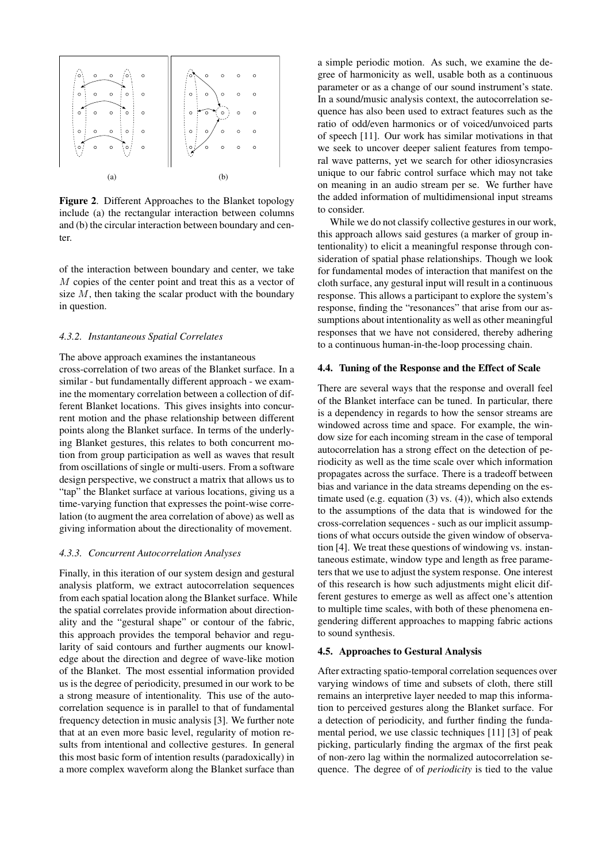

Figure 2. Different Approaches to the Blanket topology include (a) the rectangular interaction between columns and (b) the circular interaction between boundary and center.

of the interaction between boundary and center, we take M copies of the center point and treat this as a vector of size  $M$ , then taking the scalar product with the boundary in question.

#### *4.3.2. Instantaneous Spatial Correlates*

The above approach examines the instantaneous cross-correlation of two areas of the Blanket surface. In a similar - but fundamentally different approach - we examine the momentary correlation between a collection of different Blanket locations. This gives insights into concurrent motion and the phase relationship between different points along the Blanket surface. In terms of the underlying Blanket gestures, this relates to both concurrent motion from group participation as well as waves that result from oscillations of single or multi-users. From a software design perspective, we construct a matrix that allows us to "tap" the Blanket surface at various locations, giving us a time-varying function that expresses the point-wise correlation (to augment the area correlation of above) as well as giving information about the directionality of movement.

#### *4.3.3. Concurrent Autocorrelation Analyses*

Finally, in this iteration of our system design and gestural analysis platform, we extract autocorrelation sequences from each spatial location along the Blanket surface. While the spatial correlates provide information about directionality and the "gestural shape" or contour of the fabric, this approach provides the temporal behavior and regularity of said contours and further augments our knowledge about the direction and degree of wave-like motion of the Blanket. The most essential information provided us is the degree of periodicity, presumed in our work to be a strong measure of intentionality. This use of the autocorrelation sequence is in parallel to that of fundamental frequency detection in music analysis [3]. We further note that at an even more basic level, regularity of motion results from intentional and collective gestures. In general this most basic form of intention results (paradoxically) in a more complex waveform along the Blanket surface than

a simple periodic motion. As such, we examine the degree of harmonicity as well, usable both as a continuous parameter or as a change of our sound instrument's state. In a sound/music analysis context, the autocorrelation sequence has also been used to extract features such as the ratio of odd/even harmonics or of voiced/unvoiced parts of speech [11]. Our work has similar motivations in that we seek to uncover deeper salient features from temporal wave patterns, yet we search for other idiosyncrasies unique to our fabric control surface which may not take on meaning in an audio stream per se. We further have the added information of multidimensional input streams to consider.

While we do not classify collective gestures in our work, this approach allows said gestures (a marker of group intentionality) to elicit a meaningful response through consideration of spatial phase relationships. Though we look for fundamental modes of interaction that manifest on the cloth surface, any gestural input will result in a continuous response. This allows a participant to explore the system's response, finding the "resonances" that arise from our assumptions about intentionality as well as other meaningful responses that we have not considered, thereby adhering to a continuous human-in-the-loop processing chain.

#### 4.4. Tuning of the Response and the Effect of Scale

There are several ways that the response and overall feel of the Blanket interface can be tuned. In particular, there is a dependency in regards to how the sensor streams are windowed across time and space. For example, the window size for each incoming stream in the case of temporal autocorrelation has a strong effect on the detection of periodicity as well as the time scale over which information propagates across the surface. There is a tradeoff between bias and variance in the data streams depending on the estimate used (e.g. equation (3) vs. (4)), which also extends to the assumptions of the data that is windowed for the cross-correlation sequences - such as our implicit assumptions of what occurs outside the given window of observation [4]. We treat these questions of windowing vs. instantaneous estimate, window type and length as free parameters that we use to adjust the system response. One interest of this research is how such adjustments might elicit different gestures to emerge as well as affect one's attention to multiple time scales, with both of these phenomena engendering different approaches to mapping fabric actions to sound synthesis.

#### 4.5. Approaches to Gestural Analysis

After extracting spatio-temporal correlation sequences over varying windows of time and subsets of cloth, there still remains an interpretive layer needed to map this information to perceived gestures along the Blanket surface. For a detection of periodicity, and further finding the fundamental period, we use classic techniques [11] [3] of peak picking, particularly finding the argmax of the first peak of non-zero lag within the normalized autocorrelation sequence. The degree of of *periodicity* is tied to the value